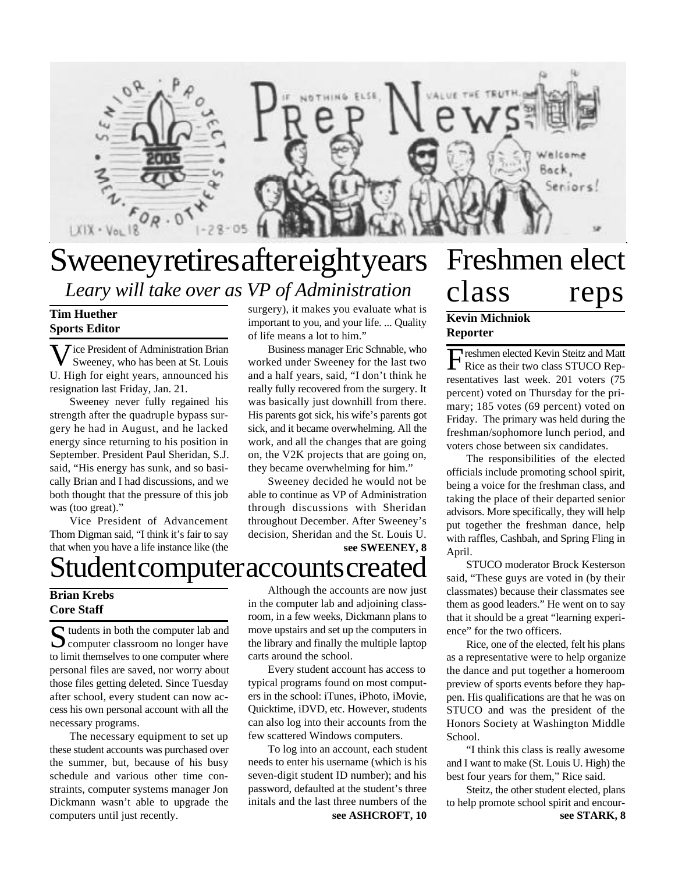

# **Sweeney retires after eight years** *Leary will take over as VP of Administration*

#### **Tim Huether Sports Editor**

**V** ice President of Administration Brian<br>Sweeney, who has been at St. Louis Sweeney, who has been at St. Louis U. High for eight years, announced his resignation last Friday, Jan. 21.

Sweeney never fully regained his strength after the quadruple bypass surgery he had in August, and he lacked energy since returning to his position in September. President Paul Sheridan, S.J. said, "His energy has sunk, and so basically Brian and I had discussions, and we both thought that the pressure of this job was (too great)."

Vice President of Advancement Thom Digman said, "I think it's fair to say that when you have a life instance like (the

# Student computer accounts created

### **Brian Krebs Core Staff**

Sudents in both the computer lab and<br>
Sudenty classroom no longer have  $\sum$  computer classroom no longer have to limit themselves to one computer where personal files are saved, nor worry about those files getting deleted. Since Tuesday after school, every student can now access his own personal account with all the necessary programs.

The necessary equipment to set up these student accounts was purchased over the summer, but, because of his busy schedule and various other time constraints, computer systems manager Jon Dickmann wasn't able to upgrade the computers until just recently.

surgery), it makes you evaluate what is important to you, and your life. ... Quality of life means a lot to him." Business manager Eric Schnable, who

worked under Sweeney for the last two and a half years, said, "I don't think he really fully recovered from the surgery. It was basically just downhill from there. His parents got sick, his wife's parents got sick, and it became overwhelming. All the work, and all the changes that are going on, the V2K projects that are going on, they became overwhelming for him."

**see SWEENEY, 8** Sweeney decided he would not be able to continue as VP of Administration through discussions with Sheridan throughout December. After Sweeney's decision, Sheridan and the St. Louis U.

Although the accounts are now just in the computer lab and adjoining classroom, in a few weeks, Dickmann plans to move upstairs and set up the computers in the library and finally the multiple laptop

carts around the school. Every student account has access to typical programs found on most computers in the school: iTunes, iPhoto, iMovie, Quicktime, iDVD, etc. However, students can also log into their accounts from the few scattered Windows computers.

**see ASHCROFT, 10** To log into an account, each student needs to enter his username (which is his seven-digit student ID number); and his password, defaulted at the student's three initals and the last three numbers of the

# Freshmen elect class reps **Kevin Michniok**

# **Reporter**

Freshmen elected Kevin Steitz and Matt reshmen elected Kevin Steitz and Matt resentatives last week. 201 voters (75 percent) voted on Thursday for the primary; 185 votes (69 percent) voted on Friday. The primary was held during the freshman/sophomore lunch period, and voters chose between six candidates.

The responsibilities of the elected officials include promoting school spirit, being a voice for the freshman class, and taking the place of their departed senior advisors. More specifically, they will help put together the freshman dance, help with raffles, Cashbah, and Spring Fling in April.

STUCO moderator Brock Kesterson said, "These guys are voted in (by their classmates) because their classmates see them as good leaders." He went on to say that it should be a great "learning experience" for the two officers.

Rice, one of the elected, felt his plans as a representative were to help organize the dance and put together a homeroom preview of sports events before they happen. His qualifications are that he was on STUCO and was the president of the Honors Society at Washington Middle School.

"I think this class is really awesome and I want to make (St. Louis U. High) the best four years for them," Rice said.

Steitz, the other student elected, plans to help promote school spirit and encour**see STARK, 8**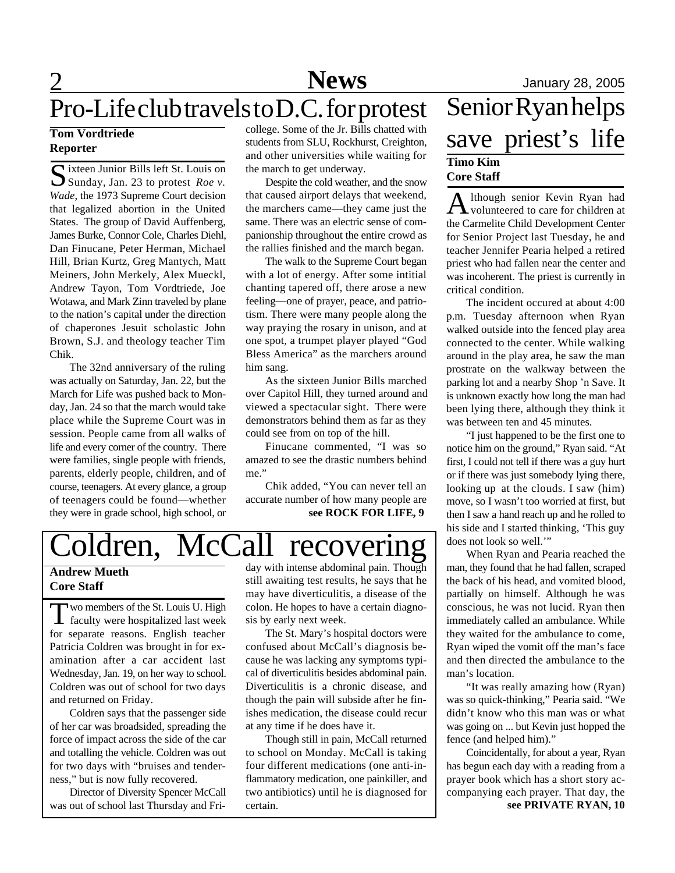# 2 **News** January 28, 2005

# Pro-Life club travels to D.C. for protest

### **Tom Vordtriede Reporter**

Sixteen Junior Bills left St. Louis on<br>Sunday, Jan. 23 to protest Roe v. Sunday, Jan. 23 to protest *Roe v. Wade*, the 1973 Supreme Court decision that legalized abortion in the United States. The group of David Auffenberg, James Burke, Connor Cole, Charles Diehl, Dan Finucane, Peter Herman, Michael Hill, Brian Kurtz, Greg Mantych, Matt Meiners, John Merkely, Alex Mueckl, Andrew Tayon, Tom Vordtriede, Joe Wotawa, and Mark Zinn traveled by plane to the nation's capital under the direction of chaperones Jesuit scholastic John Brown, S.J. and theology teacher Tim Chik.

The 32nd anniversary of the ruling was actually on Saturday, Jan. 22, but the March for Life was pushed back to Monday, Jan. 24 so that the march would take place while the Supreme Court was in session. People came from all walks of life and every corner of the country. There were families, single people with friends, parents, elderly people, children, and of course, teenagers. At every glance, a group of teenagers could be found—whether they were in grade school, high school, or college. Some of the Jr. Bills chatted with students from SLU, Rockhurst, Creighton, and other universities while waiting for the march to get underway.

Despite the cold weather, and the snow that caused airport delays that weekend, the marchers came—they came just the same. There was an electric sense of companionship throughout the entire crowd as the rallies finished and the march began.

The walk to the Supreme Court began with a lot of energy. After some intitial chanting tapered off, there arose a new feeling—one of prayer, peace, and patriotism. There were many people along the way praying the rosary in unison, and at one spot, a trumpet player played "God Bless America" as the marchers around him sang.

As the sixteen Junior Bills marched over Capitol Hill, they turned around and viewed a spectacular sight. There were demonstrators behind them as far as they could see from on top of the hill.

Finucane commented, "I was so amazed to see the drastic numbers behind me."

**see ROCK FOR LIFE, 9** Chik added, "You can never tell an accurate number of how many people are

# oldren, McCall recovering

### **Andrew Mueth Core Staff**

Two members of the St. Louis U. High<br>faculty were hospitalized last week wo members of the St. Louis U. High for separate reasons. English teacher Patricia Coldren was brought in for examination after a car accident last Wednesday, Jan. 19, on her way to school. Coldren was out of school for two days and returned on Friday.

Coldren says that the passenger side of her car was broadsided, spreading the force of impact across the side of the car and totalling the vehicle. Coldren was out for two days with "bruises and tenderness," but is now fully recovered.

Director of Diversity Spencer McCall was out of school last Thursday and Friday with intense abdominal pain. Though still awaiting test results, he says that he may have diverticulitis, a disease of the colon. He hopes to have a certain diagnosis by early next week.

The St. Mary's hospital doctors were confused about McCall's diagnosis because he was lacking any symptoms typical of diverticulitis besides abdominal pain. Diverticulitis is a chronic disease, and though the pain will subside after he finishes medication, the disease could recur at any time if he does have it.

Though still in pain, McCall returned to school on Monday. McCall is taking four different medications (one anti-inflammatory medication, one painkiller, and two antibiotics) until he is diagnosed for certain.

# Senior Ryan helps save priest's life **Timo Kim Core Staff**

A lthough senior Kevin Ryan had<br>volunteered to care for children at volunteered to care for children at the Carmelite Child Development Center for Senior Project last Tuesday, he and teacher Jennifer Pearia helped a retired priest who had fallen near the center and was incoherent. The priest is currently in critical condition.

The incident occured at about 4:00 p.m. Tuesday afternoon when Ryan walked outside into the fenced play area connected to the center. While walking around in the play area, he saw the man prostrate on the walkway between the parking lot and a nearby Shop 'n Save. It is unknown exactly how long the man had been lying there, although they think it was between ten and 45 minutes.

"I just happened to be the first one to notice him on the ground," Ryan said. "At first, I could not tell if there was a guy hurt or if there was just somebody lying there, looking up at the clouds. I saw (him) move, so I wasn't too worried at first, but then I saw a hand reach up and he rolled to his side and I started thinking, 'This guy does not look so well.'"

When Ryan and Pearia reached the man, they found that he had fallen, scraped the back of his head, and vomited blood, partially on himself. Although he was conscious, he was not lucid. Ryan then immediately called an ambulance. While they waited for the ambulance to come, Ryan wiped the vomit off the man's face and then directed the ambulance to the man's location.

"It was really amazing how (Ryan) was so quick-thinking," Pearia said. "We didn't know who this man was or what was going on ... but Kevin just hopped the fence (and helped him)."

**see PRIVATE RYAN, 10** Coincidentally, for about a year, Ryan has begun each day with a reading from a prayer book which has a short story accompanying each prayer. That day, the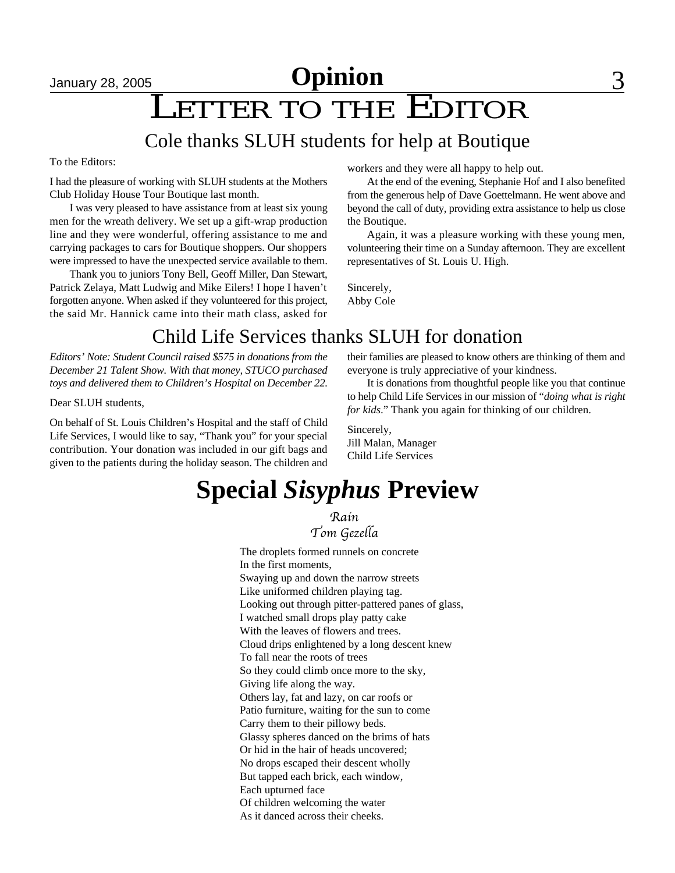# January 28, 2005 **Opinion** 3

# LETTER TO THE EDITOR

# Cole thanks SLUH students for help at Boutique

To the Editors:

I had the pleasure of working with SLUH students at the Mothers Club Holiday House Tour Boutique last month.

I was very pleased to have assistance from at least six young men for the wreath delivery. We set up a gift-wrap production line and they were wonderful, offering assistance to me and carrying packages to cars for Boutique shoppers. Our shoppers were impressed to have the unexpected service available to them.

Thank you to juniors Tony Bell, Geoff Miller, Dan Stewart, Patrick Zelaya, Matt Ludwig and Mike Eilers! I hope I haven't forgotten anyone. When asked if they volunteered for this project, the said Mr. Hannick came into their math class, asked for workers and they were all happy to help out.

At the end of the evening, Stephanie Hof and I also benefited from the generous help of Dave Goettelmann. He went above and beyond the call of duty, providing extra assistance to help us close the Boutique.

Again, it was a pleasure working with these young men, volunteering their time on a Sunday afternoon. They are excellent representatives of St. Louis U. High.

Sincerely, Abby Cole

# Child Life Services thanks SLUH for donation

*Editors' Note: Student Council raised \$575 in donations from the December 21 Talent Show. With that money, STUCO purchased toys and delivered them to Children's Hospital on December 22.*

Dear SLUH students,

On behalf of St. Louis Children's Hospital and the staff of Child Life Services, I would like to say, "Thank you" for your special contribution. Your donation was included in our gift bags and given to the patients during the holiday season. The children and their families are pleased to know others are thinking of them and everyone is truly appreciative of your kindness.

It is donations from thoughtful people like you that continue to help Child Life Services in our mission of "*doing what is right for kids*." Thank you again for thinking of our children.

Sincerely, Jill Malan, Manager Child Life Services

# **Special** *Sisyphus* **Preview**

Rain Tom Gezella

The droplets formed runnels on concrete In the first moments, Swaying up and down the narrow streets Like uniformed children playing tag. Looking out through pitter-pattered panes of glass, I watched small drops play patty cake With the leaves of flowers and trees. Cloud drips enlightened by a long descent knew To fall near the roots of trees So they could climb once more to the sky, Giving life along the way. Others lay, fat and lazy, on car roofs or Patio furniture, waiting for the sun to come Carry them to their pillowy beds. Glassy spheres danced on the brims of hats Or hid in the hair of heads uncovered; No drops escaped their descent wholly But tapped each brick, each window, Each upturned face Of children welcoming the water As it danced across their cheeks.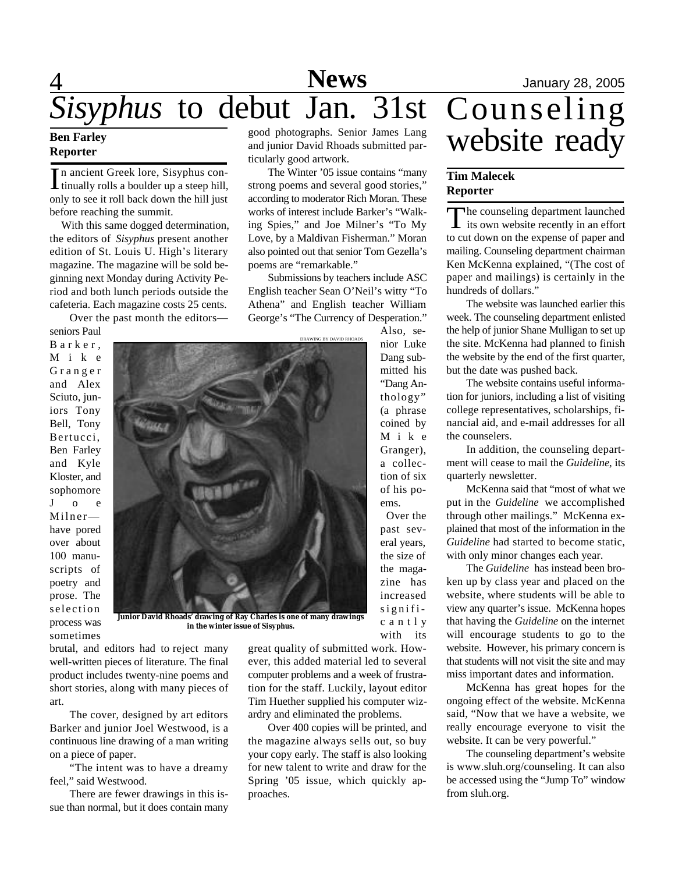# **Reporter**

In ancient Greek lore, Sisyphus continually rolls a boulder up a steep hill, only to see it roll back down the hill just n ancient Greek lore, Sisyphus continually rolls a boulder up a steep hill, before reaching the summit.

With this same dogged determination, the editors of *Sisyphus* present another edition of St. Louis U. High's literary magazine. The magazine will be sold beginning next Monday during Activity Period and both lunch periods outside the cafeteria. Each magazine costs 25 cents.

Over the past month the editors—

seniors Paul B a r k e r , M i k e G r a n g e r and Alex Sciuto, juniors Tony Bell, Tony Bertucci, Ben Farley and Kyle Kloster, and sophomore J o e Milner have pored over about 100 manuscripts of poetry and prose. The selection process was sometimes



**Junior David Rhoads' drawing of Ray Charles is one of many drawings in the winter issue of** *Sisyphus***.**

brutal, and editors had to reject many well-written pieces of literature. The final product includes twenty-nine poems and short stories, along with many pieces of art.

The cover, designed by art editors Barker and junior Joel Westwood, is a continuous line drawing of a man writing on a piece of paper.

"The intent was to have a dreamy feel," said Westwood.

There are fewer drawings in this issue than normal, but it does contain many

good photographs. Senior James Lang and junior David Rhoads submitted particularly good artwork.

The Winter '05 issue contains "many strong poems and several good stories," according to moderator Rich Moran. These works of interest include Barker's "Walking Spies," and Joe Milner's "To My Love, by a Maldivan Fisherman." Moran also pointed out that senior Tom Gezella's poems are "remarkable."

Submissions by teachers include ASC English teacher Sean O'Neil's witty "To Athena" and English teacher William George's "The Currency of Desperation."

DRAWING BY DAVID RHOADS

Also, senior Luke Dang submitted his "Dang Anthology" (a phrase coined by M i k e Granger), a collection of six of his poems.

 Over the past several years, the size of the magazine has increased signific a n t l y with its

great quality of submitted work. However, this added material led to several computer problems and a week of frustration for the staff. Luckily, layout editor Tim Huether supplied his computer wizardry and eliminated the problems.

Over 400 copies will be printed, and the magazine always sells out, so buy your copy early. The staff is also looking for new talent to write and draw for the Spring '05 issue, which quickly approaches.

# Ben Farley good photographs. Senior James Lang<br>Reporter and junior David Rhoads submitted par-<br>Reporter

### **Tim Malecek Reporter**

The counseling department launched<br>its own website recently in an effort he counseling department launched to cut down on the expense of paper and mailing. Counseling department chairman Ken McKenna explained, "(The cost of paper and mailings) is certainly in the hundreds of dollars."

The website was launched earlier this week. The counseling department enlisted the help of junior Shane Mulligan to set up the site. McKenna had planned to finish the website by the end of the first quarter, but the date was pushed back.

The website contains useful information for juniors, including a list of visiting college representatives, scholarships, financial aid, and e-mail addresses for all the counselers.

In addition, the counseling department will cease to mail the *Guideline*, its quarterly newsletter.

McKenna said that "most of what we put in the *Guideline* we accomplished through other mailings." McKenna explained that most of the information in the *Guideline* had started to become static, with only minor changes each year.

The *Guideline* has instead been broken up by class year and placed on the website, where students will be able to view any quarter's issue. McKenna hopes that having the *Guideline* on the internet will encourage students to go to the website. However, his primary concern is that students will not visit the site and may miss important dates and information.

McKenna has great hopes for the ongoing effect of the website. McKenna said, "Now that we have a website, we really encourage everyone to visit the website. It can be very powerful."

The counseling department's website is www.sluh.org/counseling. It can also be accessed using the "Jump To" window from sluh.org.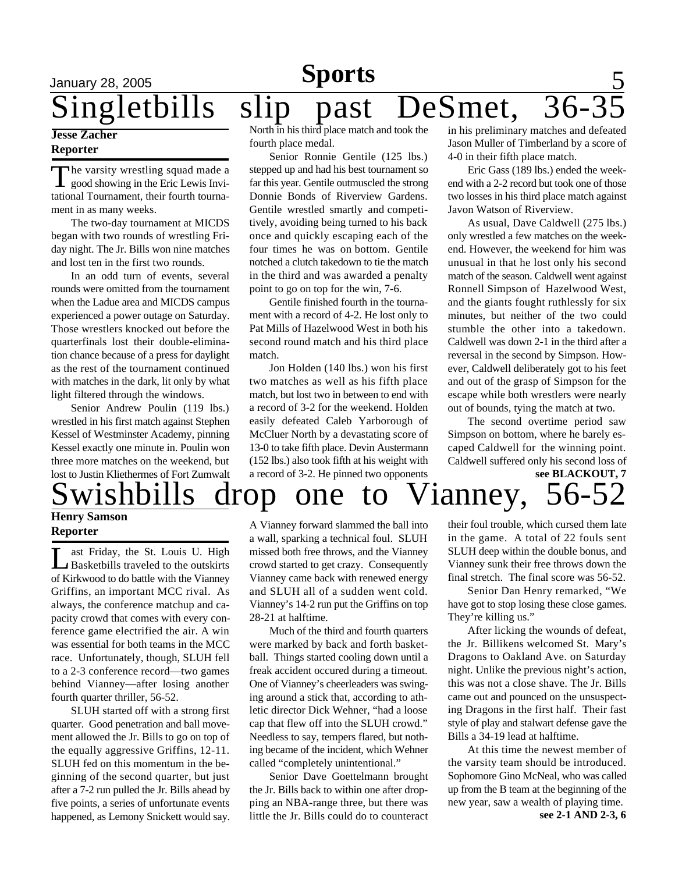# **Sports**

# January 28, 2005 **Sports** 5 Singletbills slip past DeSmet,

### **Jesse Zacher Reporter**

The varsity wrestling squad made a<br>good showing in the Eric Lewis Invihe varsity wrestling squad made a tational Tournament, their fourth tournament in as many weeks.

The two-day tournament at MICDS began with two rounds of wrestling Friday night. The Jr. Bills won nine matches and lost ten in the first two rounds.

In an odd turn of events, several rounds were omitted from the tournament when the Ladue area and MICDS campus experienced a power outage on Saturday. Those wrestlers knocked out before the quarterfinals lost their double-elimination chance because of a press for daylight as the rest of the tournament continued with matches in the dark, lit only by what light filtered through the windows.

Senior Andrew Poulin (119 lbs.) wrestled in his first match against Stephen Kessel of Westminster Academy, pinning Kessel exactly one minute in. Poulin won three more matches on the weekend, but lost to Justin Kliethermes of Fort Zumwalt North in his third place match and took the fourth place medal.

Senior Ronnie Gentile (125 lbs.) stepped up and had his best tournament so far this year. Gentile outmuscled the strong Donnie Bonds of Riverview Gardens. Gentile wrestled smartly and competitively, avoiding being turned to his back once and quickly escaping each of the four times he was on bottom. Gentile notched a clutch takedown to tie the match in the third and was awarded a penalty point to go on top for the win, 7-6.

Gentile finished fourth in the tournament with a record of 4-2. He lost only to Pat Mills of Hazelwood West in both his second round match and his third place match.

Jon Holden (140 lbs.) won his first two matches as well as his fifth place match, but lost two in between to end with a record of 3-2 for the weekend. Holden easily defeated Caleb Yarborough of McCluer North by a devastating score of 13-0 to take fifth place. Devin Austermann (152 lbs.) also took fifth at his weight with a record of 3-2. He pinned two opponents

in his preliminary matches and defeated Jason Muller of Timberland by a score of 4-0 in their fifth place match.

Eric Gass (189 lbs.) ended the weekend with a 2-2 record but took one of those two losses in his third place match against Javon Watson of Riverview.

As usual, Dave Caldwell (275 lbs.) only wrestled a few matches on the weekend. However, the weekend for him was unusual in that he lost only his second match of the season. Caldwell went against Ronnell Simpson of Hazelwood West, and the giants fought ruthlessly for six minutes, but neither of the two could stumble the other into a takedown. Caldwell was down 2-1 in the third after a reversal in the second by Simpson. However, Caldwell deliberately got to his feet and out of the grasp of Simpson for the escape while both wrestlers were nearly out of bounds, tying the match at two.

**see BLACKOUT, 7** The second overtime period saw Simpson on bottom, where he barely escaped Caldwell for the winning point. Caldwell suffered only his second loss of

# $drop$  one to Vianney, 56-52

### **Henry Samson Reporter**

L ast Friday, the St. Louis U. High<br>Basketbills traveled to the outskirts ast Friday, the St. Louis U. High of Kirkwood to do battle with the Vianney Griffins, an important MCC rival. As always, the conference matchup and capacity crowd that comes with every conference game electrified the air. A win was essential for both teams in the MCC race. Unfortunately, though, SLUH fell to a 2-3 conference record—two games behind Vianney—after losing another fourth quarter thriller, 56-52.

SLUH started off with a strong first quarter. Good penetration and ball movement allowed the Jr. Bills to go on top of the equally aggressive Griffins, 12-11. SLUH fed on this momentum in the beginning of the second quarter, but just after a 7-2 run pulled the Jr. Bills ahead by five points, a series of unfortunate events happened, as Lemony Snickett would say.

A Vianney forward slammed the ball into a wall, sparking a technical foul. SLUH missed both free throws, and the Vianney crowd started to get crazy. Consequently Vianney came back with renewed energy and SLUH all of a sudden went cold. Vianney's 14-2 run put the Griffins on top 28-21 at halftime.

Much of the third and fourth quarters were marked by back and forth basketball. Things started cooling down until a freak accident occured during a timeout. One of Vianney's cheerleaders was swinging around a stick that, according to athletic director Dick Wehner, "had a loose cap that flew off into the SLUH crowd." Needless to say, tempers flared, but nothing became of the incident, which Wehner called "completely unintentional."

Senior Dave Goettelmann brought the Jr. Bills back to within one after dropping an NBA-range three, but there was little the Jr. Bills could do to counteract

their foul trouble, which cursed them late in the game. A total of 22 fouls sent SLUH deep within the double bonus, and Vianney sunk their free throws down the final stretch. The final score was 56-52.

Senior Dan Henry remarked, "We have got to stop losing these close games. They're killing us."

After licking the wounds of defeat, the Jr. Billikens welcomed St. Mary's Dragons to Oakland Ave. on Saturday night. Unlike the previous night's action, this was not a close shave. The Jr. Bills came out and pounced on the unsuspecting Dragons in the first half. Their fast style of play and stalwart defense gave the Bills a 34-19 lead at halftime.

**see 2-1 AND 2-3, 6** At this time the newest member of the varsity team should be introduced. Sophomore Gino McNeal, who was called up from the B team at the beginning of the new year, saw a wealth of playing time.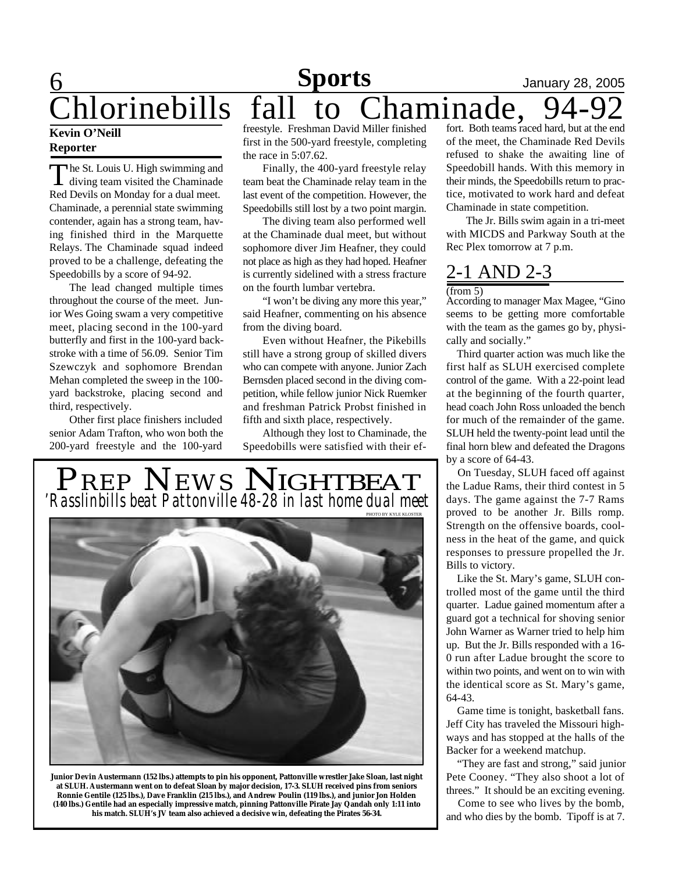### **6** 1anuary 28, 2005 **Sports**

# Chlorinebills fall to Chaminade,

### **Kevin O'Neill Reporter**

The St. Louis U. High swimming and<br>diving team visited the Chaminade he St. Louis U. High swimming and Red Devils on Monday for a dual meet. Chaminade, a perennial state swimming contender, again has a strong team, having finished third in the Marquette Relays. The Chaminade squad indeed proved to be a challenge, defeating the Speedobills by a score of 94-92.

The lead changed multiple times throughout the course of the meet. Junior Wes Going swam a very competitive meet, placing second in the 100-yard butterfly and first in the 100-yard backstroke with a time of 56.09. Senior Tim Szewczyk and sophomore Brendan Mehan completed the sweep in the 100 yard backstroke, placing second and third, respectively.

Other first place finishers included senior Adam Trafton, who won both the 200-yard freestyle and the 100-yard

freestyle. Freshman David Miller finished first in the 500-yard freestyle, completing the race in 5:07.62.

Finally, the 400-yard freestyle relay team beat the Chaminade relay team in the last event of the competition. However, the Speedobills still lost by a two point margin.

The diving team also performed well at the Chaminade dual meet, but without sophomore diver Jim Heafner, they could not place as high as they had hoped. Heafner is currently sidelined with a stress fracture on the fourth lumbar vertebra.

"I won't be diving any more this year," said Heafner, commenting on his absence from the diving board.

Even without Heafner, the Pikebills still have a strong group of skilled divers who can compete with anyone. Junior Zach Bernsden placed second in the diving competition, while fellow junior Nick Ruemker and freshman Patrick Probst finished in fifth and sixth place, respectively.

Although they lost to Chaminade, the Speedobills were satisfied with their ef-



**Junior Devin Austermann (152 lbs.) attempts to pin his opponent, Pattonville wrestler Jake Sloan, last night at SLUH. Austermann went on to defeat Sloan by major decision, 17-3. SLUH received pins from seniors Ronnie Gentile (125 lbs.), Dave Franklin (215 lbs.), and Andrew Poulin (119 lbs.), and junior Jon Holden (140 lbs.) Gentile had an especially impressive match, pinning Pattonville Pirate Jay Qandah only 1:11 into his match. SLUH's JV team also achieved a decisive win, defeating the Pirates 56-34.**

fort. Both teams raced hard, but at the end of the meet, the Chaminade Red Devils refused to shake the awaiting line of Speedobill hands. With this memory in their minds, the Speedobills return to practice, motivated to work hard and defeat Chaminade in state competition.

The Jr. Bills swim again in a tri-meet with MICDS and Parkway South at the Rec Plex tomorrow at 7 p.m.

## 2-1 AND 2-3  $(from 5)$

According to manager Max Magee, "Gino seems to be getting more comfortable with the team as the games go by, physically and socially."

 Third quarter action was much like the first half as SLUH exercised complete control of the game. With a 22-point lead at the beginning of the fourth quarter, head coach John Ross unloaded the bench for much of the remainder of the game. SLUH held the twenty-point lead until the final horn blew and defeated the Dragons by a score of 64-43.

 On Tuesday, SLUH faced off against the Ladue Rams, their third contest in 5 days. The game against the 7-7 Rams proved to be another Jr. Bills romp. Strength on the offensive boards, coolness in the heat of the game, and quick responses to pressure propelled the Jr. Bills to victory.

 Like the St. Mary's game, SLUH controlled most of the game until the third quarter. Ladue gained momentum after a guard got a technical for shoving senior John Warner as Warner tried to help him up. But the Jr. Bills responded with a 16- 0 run after Ladue brought the score to within two points, and went on to win with the identical score as St. Mary's game, 64-43.

 Game time is tonight, basketball fans. Jeff City has traveled the Missouri highways and has stopped at the halls of the Backer for a weekend matchup.

 "They are fast and strong," said junior Pete Cooney. "They also shoot a lot of threes." It should be an exciting evening.

 Come to see who lives by the bomb, and who dies by the bomb. Tipoff is at 7.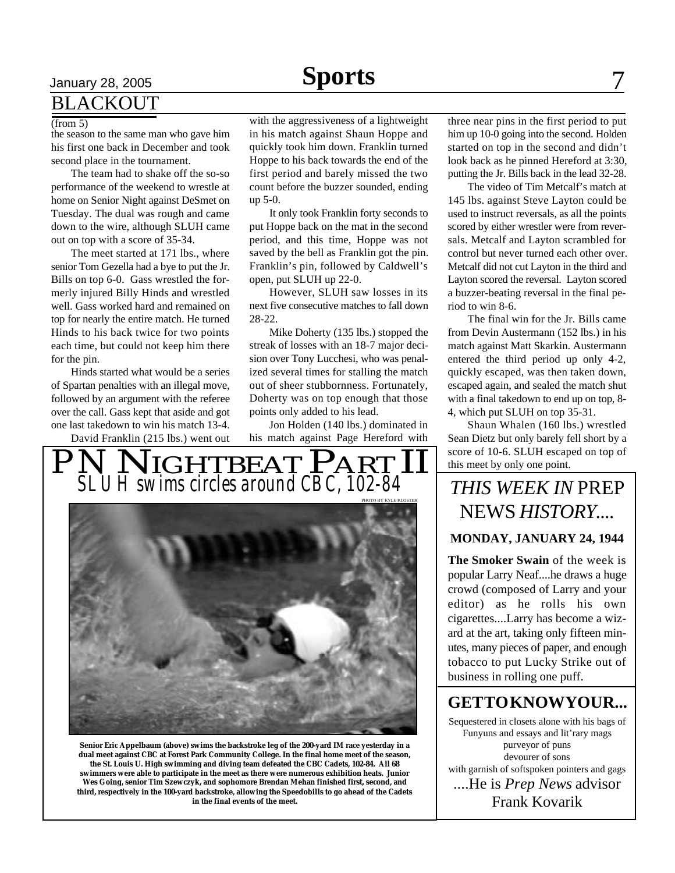# **BLACKOUT**

#### (from 5)

the season to the same man who gave him his first one back in December and took second place in the tournament.

The team had to shake off the so-so performance of the weekend to wrestle at home on Senior Night against DeSmet on Tuesday. The dual was rough and came down to the wire, although SLUH came out on top with a score of 35-34.

The meet started at 171 lbs., where senior Tom Gezella had a bye to put the Jr. Bills on top 6-0. Gass wrestled the formerly injured Billy Hinds and wrestled well. Gass worked hard and remained on top for nearly the entire match. He turned Hinds to his back twice for two points each time, but could not keep him there for the pin.

Hinds started what would be a series of Spartan penalties with an illegal move, followed by an argument with the referee over the call. Gass kept that aside and got one last takedown to win his match 13-4.

David Franklin (215 lbs.) went out

with the aggressiveness of a lightweight in his match against Shaun Hoppe and quickly took him down. Franklin turned Hoppe to his back towards the end of the first period and barely missed the two

count before the buzzer sounded, ending up 5-0. It only took Franklin forty seconds to put Hoppe back on the mat in the second period, and this time, Hoppe was not

saved by the bell as Franklin got the pin. Franklin's pin, followed by Caldwell's open, put SLUH up 22-0. However, SLUH saw losses in its

next five consecutive matches to fall down 28-22.

Mike Doherty (135 lbs.) stopped the streak of losses with an 18-7 major decision over Tony Lucchesi, who was penalized several times for stalling the match out of sheer stubbornness. Fortunately, Doherty was on top enough that those points only added to his lead.

Jon Holden (140 lbs.) dominated in his match against Page Hereford with

**PNNIGHTBEAT PART II** *SLUH swims circles around CBC, 102-84*



**Senior Eric Appelbaum (above) swims the backstroke leg of the 200-yard IM race yesterday in a dual meet against CBC at Forest Park Community College. In the final home meet of the season, the St. Louis U. High swimming and diving team defeated the CBC Cadets, 102-84. All 68 swimmers were able to participate in the meet as there were numerous exhibition heats. Junior Wes Going, senior Tim Szewczyk, and sophomore Brendan Mehan finished first, second, and third, respectively in the 100-yard backstroke, allowing the Speedobills to go ahead of the Cadets in the final events of the meet.**

three near pins in the first period to put him up 10-0 going into the second. Holden started on top in the second and didn't look back as he pinned Hereford at 3:30, putting the Jr. Bills back in the lead 32-28.

The video of Tim Metcalf's match at 145 lbs. against Steve Layton could be used to instruct reversals, as all the points scored by either wrestler were from reversals. Metcalf and Layton scrambled for control but never turned each other over. Metcalf did not cut Layton in the third and Layton scored the reversal. Layton scored a buzzer-beating reversal in the final period to win 8-6.

The final win for the Jr. Bills came from Devin Austermann (152 lbs.) in his match against Matt Skarkin. Austermann entered the third period up only 4-2, quickly escaped, was then taken down, escaped again, and sealed the match shut with a final takedown to end up on top, 8- 4, which put SLUH on top 35-31.

Shaun Whalen (160 lbs.) wrestled Sean Dietz but only barely fell short by a score of 10-6. SLUH escaped on top of this meet by only one point.

# *THIS WEEK IN* PREP NEWS *HISTORY....*

### **MONDAY, JANUARY 24, 1944**

**The Smoker Swain** of the week is popular Larry Neaf....he draws a huge crowd (composed of Larry and your editor) as he rolls his own cigarettes....Larry has become a wizard at the art, taking only fifteen minutes, many pieces of paper, and enough tobacco to put Lucky Strike out of business in rolling one puff.

# **GET TO KNOW YOUR...**

Sequestered in closets alone with his bags of Funyuns and essays and lit'rary mags purveyor of puns devourer of sons with garnish of softspoken pointers and gags ....He is *Prep News* advisor Frank Kovarik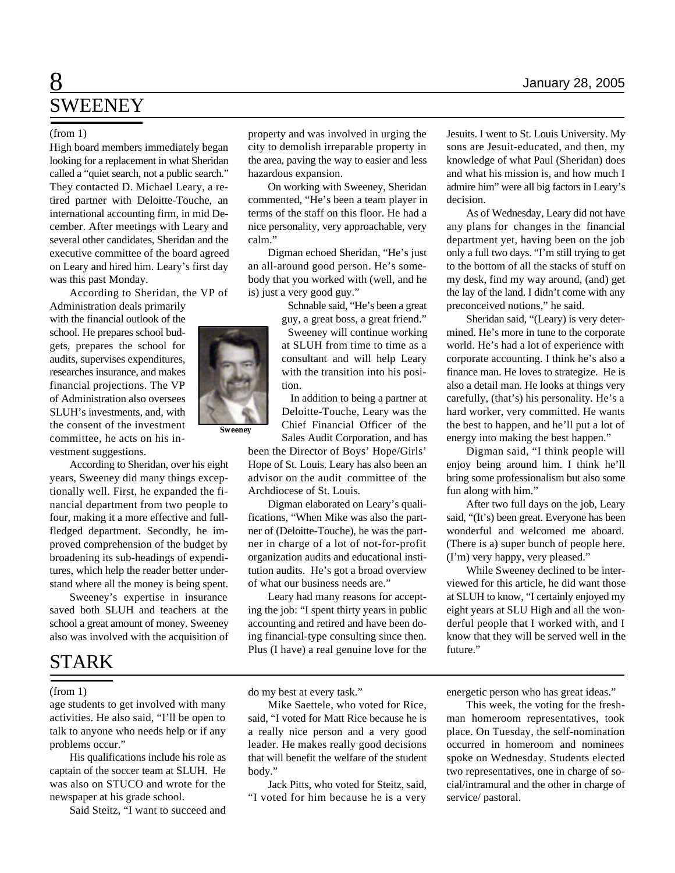# 8 **News** January 28, 2005 SWEENEY

High board members immediately began looking for a replacement in what Sheridan called a "quiet search, not a public search." They contacted D. Michael Leary, a retired partner with Deloitte-Touche, an international accounting firm, in mid December. After meetings with Leary and several other candidates, Sheridan and the executive committee of the board agreed on Leary and hired him. Leary's first day was this past Monday.

According to Sheridan, the VP of

Administration deals primarily with the financial outlook of the school. He prepares school budgets, prepares the school for audits, supervises expenditures, researches insurance, and makes financial projections. The VP of Administration also oversees SLUH's investments, and, with the consent of the investment committee, he acts on his investment suggestions.

According to Sheridan, over his eight years, Sweeney did many things exceptionally well. First, he expanded the financial department from two people to four, making it a more effective and fullfledged department. Secondly, he improved comprehension of the budget by broadening its sub-headings of expenditures, which help the reader better understand where all the money is being spent.

Sweeney's expertise in insurance saved both SLUH and teachers at the school a great amount of money. Sweeney also was involved with the acquisition of

# STARK

age students to get involved with many activities. He also said, "I'll be open to talk to anyone who needs help or if any problems occur."

His qualifications include his role as captain of the soccer team at SLUH. He was also on STUCO and wrote for the newspaper at his grade school.

Said Steitz, "I want to succeed and

(from 1) property and was involved in urging the city to demolish irreparable property in the area, paving the way to easier and less hazardous expansion.

> On working with Sweeney, Sheridan commented, "He's been a team player in terms of the staff on this floor. He had a nice personality, very approachable, very calm."

> Digman echoed Sheridan, "He's just an all-around good person. He's somebody that you worked with (well, and he is) just a very good guy."

> > Schnable said, "He's been a great guy, a great boss, a great friend."

Sweeney will continue working at SLUH from time to time as a consultant and will help Leary with the transition into his position.

 In addition to being a partner at Deloitte-Touche, Leary was the Chief Financial Officer of the Sales Audit Corporation, and has

been the Director of Boys' Hope/Girls' Hope of St. Louis. Leary has also been an advisor on the audit committee of the Archdiocese of St. Louis.

Digman elaborated on Leary's qualifications, "When Mike was also the partner of (Deloitte-Touche), he was the partner in charge of a lot of not-for-profit organization audits and educational institution audits. He's got a broad overview of what our business needs are."

Leary had many reasons for accepting the job: "I spent thirty years in public accounting and retired and have been doing financial-type consulting since then. Plus (I have) a real genuine love for the

(from 1) do my best at every task."

Mike Saettele, who voted for Rice, said, "I voted for Matt Rice because he is a really nice person and a very good leader. He makes really good decisions that will benefit the welfare of the student body."

Jack Pitts, who voted for Steitz, said, "I voted for him because he is a very Jesuits. I went to St. Louis University. My sons are Jesuit-educated, and then, my knowledge of what Paul (Sheridan) does and what his mission is, and how much I admire him" were all big factors in Leary's decision.

As of Wednesday, Leary did not have any plans for changes in the financial department yet, having been on the job only a full two days. "I'm still trying to get to the bottom of all the stacks of stuff on my desk, find my way around, (and) get the lay of the land. I didn't come with any preconceived notions," he said.

Sheridan said, "(Leary) is very determined. He's more in tune to the corporate world. He's had a lot of experience with corporate accounting. I think he's also a finance man. He loves to strategize. He is also a detail man. He looks at things very carefully, (that's) his personality. He's a hard worker, very committed. He wants the best to happen, and he'll put a lot of energy into making the best happen."

Digman said, "I think people will enjoy being around him. I think he'll bring some professionalism but also some fun along with him."

After two full days on the job, Leary said, "(It's) been great. Everyone has been wonderful and welcomed me aboard. (There is a) super bunch of people here. (I'm) very happy, very pleased."

While Sweeney declined to be interviewed for this article, he did want those at SLUH to know, "I certainly enjoyed my eight years at SLU High and all the wonderful people that I worked with, and I know that they will be served well in the future."

energetic person who has great ideas."

This week, the voting for the freshman homeroom representatives, took place. On Tuesday, the self-nomination occurred in homeroom and nominees spoke on Wednesday. Students elected two representatives, one in charge of social/intramural and the other in charge of service/ pastoral.

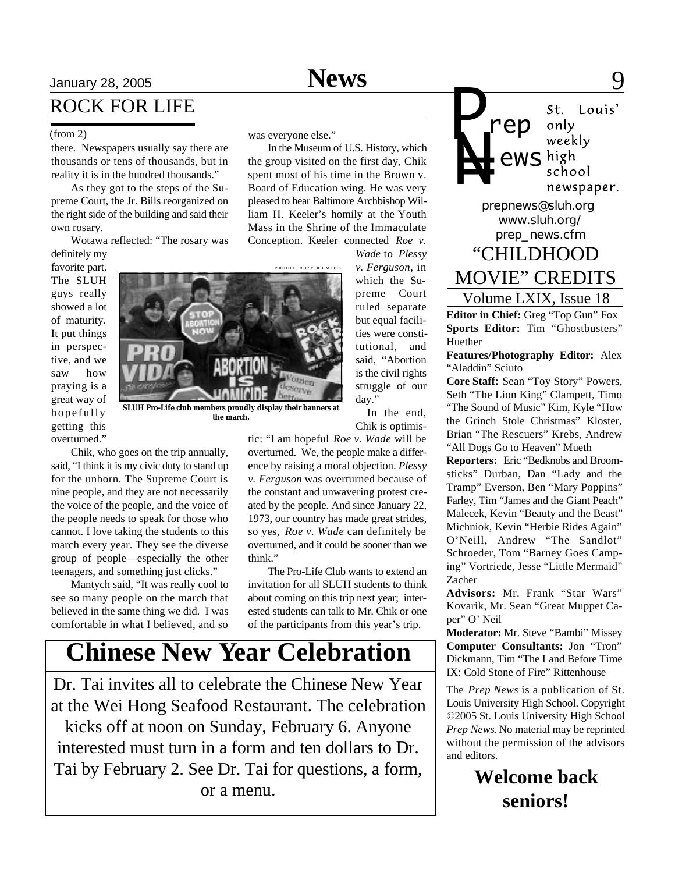In the Museum of U.S. History, which the group visited on the first day, Chik spent most of his time in the Brown v. Board of Education wing. He was very pleased to hear Baltimore Archbishop William H. Keeler's homily at the Youth Mass in the Shrine of the Immaculate

OTO COURTESY OF TIM CHIK

# January 28, 2005 **News** 9 ROCK FOR LIFE

#### (from 2) was everyone else."

there. Newspapers usually say there are thousands or tens of thousands, but in reality it is in the hundred thousands."

As they got to the steps of the Supreme Court, the Jr. Bills reorganized on the right side of the building and said their own rosary.

Wotawa reflected: "The rosary was

definitely my favorite part. The SLUH guys really showed a lot of maturity. It put things in perspective, and we saw how praying is a great way of hopefully getting this overturned."



**the march.**

Chik, who goes on the trip annually, said, "I think it is my civic duty to stand up for the unborn. The Supreme Court is nine people, and they are not necessarily the voice of the people, and the voice of the people needs to speak for those who cannot. I love taking the students to this march every year. They see the diverse group of people—especially the other teenagers, and something just clicks."

Mantych said, "It was really cool to see so many people on the march that believed in the same thing we did. I was comfortable in what I believed, and so

Conception. Keeler connected *Roe v. Wade* to *Plessy v. Ferguson*, in which the Supreme Court ruled separate but equal facilities were constitutional, and said, "Abortion is the civil rights struggle of our day."

> In the end, Chik is optimis-

tic: "I am hopeful *Roe v. Wade* will be overturned. We, the people make a difference by raising a moral objection. *Plessy v. Ferguson* was overturned because of the constant and unwavering protest created by the people. And since January 22, 1973, our country has made great strides, so yes, *Roe v. Wade* can definitely be overturned, and it could be sooner than we think."

The Pro-Life Club wants to extend an invitation for all SLUH students to think about coming on this trip next year; interested students can talk to Mr. Chik or one of the participants from this year's trip.

# **Chinese New Year Celebration**

Dr. Tai invites all to celebrate the Chinese New Year at the Wei Hong Seafood Restaurant. The celebration kicks off at noon on Sunday, February 6. Anyone interested must turn in a form and ten dollars to Dr. Tai by February 2. See Dr. Tai for questions, a form, or a menu.

*P* St. Louis' *rep* only weekly *N= ews* school newspaper. *prepnews@sluh.org www.sluh.org/ prep\_news.cfm* "CHILDHOOD MOVIE" CREDITS

Volume LXIX, Issue 18

**Editor in Chief:** Greg "Top Gun" Fox **Sports Editor:** Tim "Ghostbusters" Huether

**Features/Photography Editor:** Alex "Aladdin" Sciuto

**Core Staff:** Sean "Toy Story" Powers, Seth "The Lion King" Clampett, Timo "The Sound of Music" Kim, Kyle "How the Grinch Stole Christmas" Kloster, Brian "The Rescuers" Krebs, Andrew "All Dogs Go to Heaven" Mueth

**Reporters:** Eric "Bedknobs and Broomsticks" Durban, Dan "Lady and the Tramp" Everson, Ben "Mary Poppins" Farley, Tim "James and the Giant Peach" Malecek, Kevin "Beauty and the Beast" Michniok, Kevin "Herbie Rides Again" O'Neill, Andrew "The Sandlot" Schroeder, Tom "Barney Goes Camping" Vortriede, Jesse "Little Mermaid" Zacher

**Advisors:** Mr. Frank "Star Wars" Kovarik, Mr. Sean "Great Muppet Caper" O' Neil

**Moderator:** Mr. Steve "Bambi" Missey **Computer Consultants:** Jon "Tron" Dickmann, Tim "The Land Before Time IX: Cold Stone of Fire" Rittenhouse

The *Prep News* is a publication of St. Louis University High School. Copyright ©2005 St. Louis University High School *Prep News*. No material may be reprinted without the permission of the advisors and editors.

> **Welcome back seniors!**